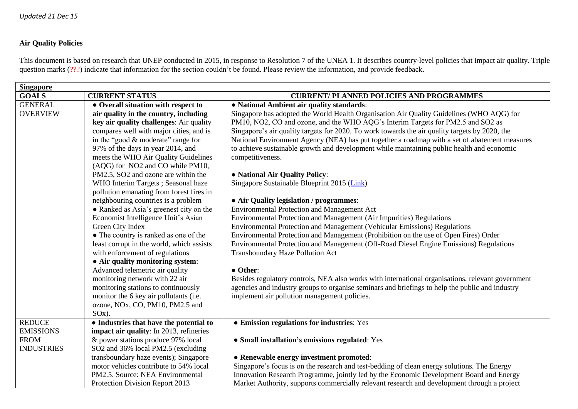## **Air Quality Policies**

This document is based on research that UNEP conducted in 2015, in response to Resolution 7 of the UNEA 1. It describes country-level policies that impact air quality. Triple question marks (???) indicate that information for the section couldn't be found. Please review the information, and provide feedback.

| <b>Singapore</b>  |                                           |                                                                                                   |  |  |
|-------------------|-------------------------------------------|---------------------------------------------------------------------------------------------------|--|--|
| <b>GOALS</b>      | <b>CURRENT STATUS</b>                     | <b>CURRENT/ PLANNED POLICIES AND PROGRAMMES</b>                                                   |  |  |
| <b>GENERAL</b>    | • Overall situation with respect to       | • National Ambient air quality standards:                                                         |  |  |
| <b>OVERVIEW</b>   | air quality in the country, including     | Singapore has adopted the World Health Organisation Air Quality Guidelines (WHO AQG) for          |  |  |
|                   | key air quality challenges: Air quality   | PM10, NO2, CO and ozone, and the WHO AQG's Interim Targets for PM2.5 and SO2 as                   |  |  |
|                   | compares well with major cities, and is   | Singapore's air quality targets for 2020. To work towards the air quality targets by 2020, the    |  |  |
|                   | in the "good & moderate" range for        | National Environment Agency (NEA) has put together a roadmap with a set of abatement measures     |  |  |
|                   | 97% of the days in year 2014, and         | to achieve sustainable growth and development while maintaining public health and economic        |  |  |
|                   | meets the WHO Air Quality Guidelines      | competitiveness.                                                                                  |  |  |
|                   | (AQG) for NO2 and CO while PM10,          |                                                                                                   |  |  |
|                   | PM2.5, SO2 and ozone are within the       | • National Air Quality Policy:                                                                    |  |  |
|                   | WHO Interim Targets; Seasonal haze        | Singapore Sustainable Blueprint 2015 (Link)                                                       |  |  |
|                   | pollution emanating from forest fires in  |                                                                                                   |  |  |
|                   | neighbouring countries is a problem       | • Air Quality legislation / programmes:                                                           |  |  |
|                   | • Ranked as Asia's greenest city on the   | <b>Environmental Protection and Management Act</b>                                                |  |  |
|                   | Economist Intelligence Unit's Asian       | Environmental Protection and Management (Air Impurities) Regulations                              |  |  |
|                   | Green City Index                          | Environmental Protection and Management (Vehicular Emissions) Regulations                         |  |  |
|                   | • The country is ranked as one of the     | Environmental Protection and Management (Prohibition on the use of Open Fires) Order              |  |  |
|                   | least corrupt in the world, which assists | Environmental Protection and Management (Off-Road Diesel Engine Emissions) Regulations            |  |  |
|                   | with enforcement of regulations           | Transboundary Haze Pollution Act                                                                  |  |  |
|                   | • Air quality monitoring system:          |                                                                                                   |  |  |
|                   | Advanced telemetric air quality           | • Other:                                                                                          |  |  |
|                   | monitoring network with 22 air            | Besides regulatory controls, NEA also works with international organisations, relevant government |  |  |
|                   | monitoring stations to continuously       | agencies and industry groups to organise seminars and briefings to help the public and industry   |  |  |
|                   | monitor the 6 key air pollutants (i.e.    | implement air pollution management policies.                                                      |  |  |
|                   | ozone, NOx, CO, PM10, PM2.5 and           |                                                                                                   |  |  |
|                   | $SOx)$ .                                  |                                                                                                   |  |  |
| <b>REDUCE</b>     | • Industries that have the potential to   | • Emission regulations for industries: Yes                                                        |  |  |
| <b>EMISSIONS</b>  | impact air quality: In 2013, refineries   |                                                                                                   |  |  |
| <b>FROM</b>       | & power stations produce 97% local        | • Small installation's emissions regulated: Yes                                                   |  |  |
| <b>INDUSTRIES</b> | SO2 and 36% local PM2.5 (excluding        |                                                                                                   |  |  |
|                   | transboundary haze events); Singapore     | • Renewable energy investment promoted:                                                           |  |  |
|                   | motor vehicles contribute to 54% local    | Singapore's focus is on the research and test-bedding of clean energy solutions. The Energy       |  |  |
|                   | PM2.5. Source: NEA Environmental          | Innovation Research Programme, jointly led by the Economic Development Board and Energy           |  |  |
|                   | Protection Division Report 2013           | Market Authority, supports commercially relevant research and development through a project       |  |  |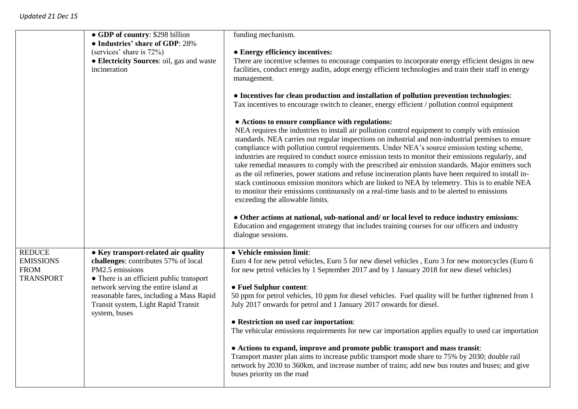|                                                                      | • GDP of country: \$298 billion<br>• Industries' share of GDP: 28%<br>(services' share is 72%)<br>• Electricity Sources: oil, gas and waste<br>incineration                                                                                                                            | funding mechanism.<br>• Energy efficiency incentives:<br>There are incentive schemes to encourage companies to incorporate energy efficient designs in new<br>facilities, conduct energy audits, adopt energy efficient technologies and train their staff in energy<br>management.<br>• Incentives for clean production and installation of pollution prevention technologies:<br>Tax incentives to encourage switch to cleaner, energy efficient / pollution control equipment<br>• Actions to ensure compliance with regulations:<br>NEA requires the industries to install air pollution control equipment to comply with emission<br>standards. NEA carries out regular inspections on industrial and non-industrial premises to ensure<br>compliance with pollution control requirements. Under NEA's source emission testing scheme,<br>industries are required to conduct source emission tests to monitor their emissions regularly, and<br>take remedial measures to comply with the prescribed air emission standards. Major emitters such<br>as the oil refineries, power stations and refuse incineration plants have been required to install in-<br>stack continuous emission monitors which are linked to NEA by telemetry. This is to enable NEA<br>to monitor their emissions continuously on a real-time basis and to be alerted to emissions<br>exceeding the allowable limits. |
|----------------------------------------------------------------------|----------------------------------------------------------------------------------------------------------------------------------------------------------------------------------------------------------------------------------------------------------------------------------------|-----------------------------------------------------------------------------------------------------------------------------------------------------------------------------------------------------------------------------------------------------------------------------------------------------------------------------------------------------------------------------------------------------------------------------------------------------------------------------------------------------------------------------------------------------------------------------------------------------------------------------------------------------------------------------------------------------------------------------------------------------------------------------------------------------------------------------------------------------------------------------------------------------------------------------------------------------------------------------------------------------------------------------------------------------------------------------------------------------------------------------------------------------------------------------------------------------------------------------------------------------------------------------------------------------------------------------------------------------------------------------------------------------|
|                                                                      | • Other actions at national, sub-national and/or local level to reduce industry emissions:<br>Education and engagement strategy that includes training courses for our officers and industry<br>dialogue sessions.                                                                     |                                                                                                                                                                                                                                                                                                                                                                                                                                                                                                                                                                                                                                                                                                                                                                                                                                                                                                                                                                                                                                                                                                                                                                                                                                                                                                                                                                                                     |
| <b>REDUCE</b><br><b>EMISSIONS</b><br><b>FROM</b><br><b>TRANSPORT</b> | • Key transport-related air quality<br>challenges: contributes 57% of local<br>PM2.5 emissions<br>• There is an efficient public transport<br>network serving the entire island at<br>reasonable fares, including a Mass Rapid<br>Transit system, Light Rapid Transit<br>system, buses | • Vehicle emission limit:<br>Euro 4 for new petrol vehicles, Euro 5 for new diesel vehicles, Euro 3 for new motorcycles (Euro 6<br>for new petrol vehicles by 1 September 2017 and by 1 January 2018 for new diesel vehicles)<br>• Fuel Sulphur content:<br>50 ppm for petrol vehicles, 10 ppm for diesel vehicles. Fuel quality will be further tightened from 1<br>July 2017 onwards for petrol and 1 January 2017 onwards for diesel.<br>• Restriction on used car importation:<br>The vehicular emissions requirements for new car importation applies equally to used car importation<br>• Actions to expand, improve and promote public transport and mass transit:<br>Transport master plan aims to increase public transport mode share to 75% by 2030; double rail<br>network by 2030 to 360km, and increase number of trains; add new bus routes and buses; and give<br>buses priority on the road                                                                                                                                                                                                                                                                                                                                                                                                                                                                                        |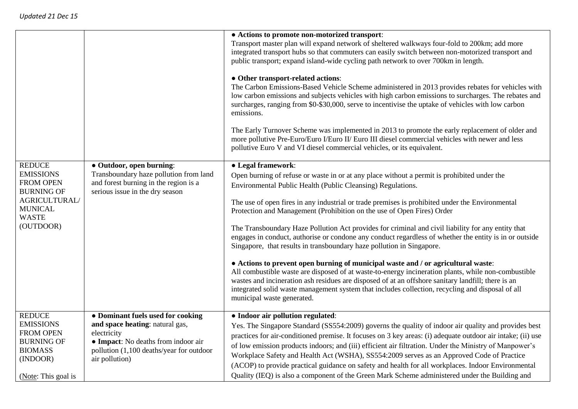|                                                                                                                                            |                                                                                                                                                                                          | • Actions to promote non-motorized transport:<br>Transport master plan will expand network of sheltered walkways four-fold to 200km; add more<br>integrated transport hubs so that commuters can easily switch between non-motorized transport and<br>public transport; expand island-wide cycling path network to over 700km in length.<br>• Other transport-related actions:<br>The Carbon Emissions-Based Vehicle Scheme administered in 2013 provides rebates for vehicles with<br>low carbon emissions and subjects vehicles with high carbon emissions to surcharges. The rebates and<br>surcharges, ranging from \$0-\$30,000, serve to incentivise the uptake of vehicles with low carbon<br>emissions.<br>The Early Turnover Scheme was implemented in 2013 to promote the early replacement of older and<br>more pollutive Pre-Euro/Euro I/Euro II/ Euro III diesel commercial vehicles with newer and less<br>pollutive Euro V and VI diesel commercial vehicles, or its equivalent.                                                                                            |
|--------------------------------------------------------------------------------------------------------------------------------------------|------------------------------------------------------------------------------------------------------------------------------------------------------------------------------------------|--------------------------------------------------------------------------------------------------------------------------------------------------------------------------------------------------------------------------------------------------------------------------------------------------------------------------------------------------------------------------------------------------------------------------------------------------------------------------------------------------------------------------------------------------------------------------------------------------------------------------------------------------------------------------------------------------------------------------------------------------------------------------------------------------------------------------------------------------------------------------------------------------------------------------------------------------------------------------------------------------------------------------------------------------------------------------------------------|
| <b>REDUCE</b><br><b>EMISSIONS</b><br><b>FROM OPEN</b><br><b>BURNING OF</b><br>AGRICULTURAL/<br><b>MUNICAL</b><br><b>WASTE</b><br>(OUTDOOR) | • Outdoor, open burning:<br>Transboundary haze pollution from land<br>and forest burning in the region is a<br>serious issue in the dry season                                           | • Legal framework:<br>Open burning of refuse or waste in or at any place without a permit is prohibited under the<br>Environmental Public Health (Public Cleansing) Regulations.<br>The use of open fires in any industrial or trade premises is prohibited under the Environmental<br>Protection and Management (Prohibition on the use of Open Fires) Order<br>The Transboundary Haze Pollution Act provides for criminal and civil liability for any entity that<br>engages in conduct, authorise or condone any conduct regardless of whether the entity is in or outside<br>Singapore, that results in transboundary haze pollution in Singapore.<br>• Actions to prevent open burning of municipal waste and / or agricultural waste:<br>All combustible waste are disposed of at waste-to-energy incineration plants, while non-combustible<br>wastes and incineration ash residues are disposed of at an offshore sanitary landfill; there is an<br>integrated solid waste management system that includes collection, recycling and disposal of all<br>municipal waste generated. |
| <b>REDUCE</b><br><b>EMISSIONS</b><br><b>FROM OPEN</b><br><b>BURNING OF</b><br><b>BIOMASS</b><br>(INDOOR)<br>(Note: This goal is            | • Dominant fuels used for cooking<br>and space heating: natural gas,<br>electricity<br>• Impact: No deaths from indoor air<br>pollution (1,100 deaths/year for outdoor<br>air pollution) | • Indoor air pollution regulated:<br>Yes. The Singapore Standard (SS554:2009) governs the quality of indoor air quality and provides best<br>practices for air-conditioned premise. It focuses on 3 key areas: (i) adequate outdoor air intake; (ii) use<br>of low emission products indoors; and (iii) efficient air filtration. Under the Ministry of Manpower's<br>Workplace Safety and Health Act (WSHA), SS554:2009 serves as an Approved Code of Practice<br>(ACOP) to provide practical guidance on safety and health for all workplaces. Indoor Environmental<br>Quality (IEQ) is also a component of the Green Mark Scheme administered under the Building and                                                                                                                                                                                                                                                                                                                                                                                                                    |